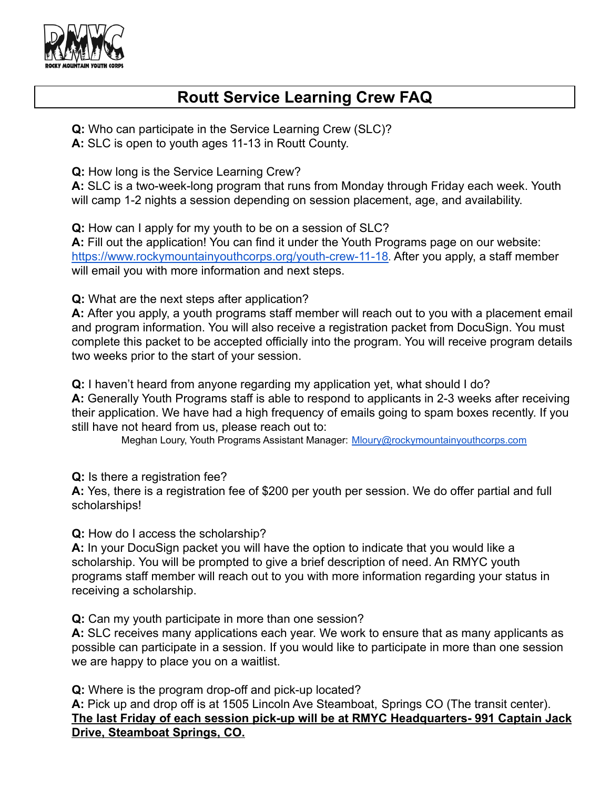

## **Routt Service Learning Crew FAQ**

**Q:** Who can participate in the Service Learning Crew (SLC)? **A:** SLC is open to youth ages 11-13 in Routt County.

**Q:** How long is the Service Learning Crew?

**A:** SLC is a two-week-long program that runs from Monday through Friday each week. Youth will camp 1-2 nights a session depending on session placement, age, and availability.

**Q:** How can I apply for my youth to be on a session of SLC?

**A:** Fill out the application! You can find it under the Youth Programs page on our website: <https://www.rockymountainyouthcorps.org/youth-crew-11-18>. After you apply, a staff member will email you with more information and next steps.

**Q:** What are the next steps after application?

**A:** After you apply, a youth programs staff member will reach out to you with a placement email and program information. You will also receive a registration packet from DocuSign. You must complete this packet to be accepted officially into the program. You will receive program details two weeks prior to the start of your session.

**Q:** I haven't heard from anyone regarding my application yet, what should I do?

**A:** Generally Youth Programs staff is able to respond to applicants in 2-3 weeks after receiving their application. We have had a high frequency of emails going to spam boxes recently. If you still have not heard from us, please reach out to:

Meghan Loury, Youth Programs Assistant Manager: [Mloury@rockymountainyouthcorps.com](mailto:Mloury@rockymountainyouthcorps.com)

**Q:** Is there a registration fee?

**A:** Yes, there is a registration fee of \$200 per youth per session. We do offer partial and full scholarships!

**Q:** How do I access the scholarship?

**A:** In your DocuSign packet you will have the option to indicate that you would like a scholarship. You will be prompted to give a brief description of need. An RMYC youth programs staff member will reach out to you with more information regarding your status in receiving a scholarship.

**Q:** Can my youth participate in more than one session?

**A:** SLC receives many applications each year. We work to ensure that as many applicants as possible can participate in a session. If you would like to participate in more than one session we are happy to place you on a waitlist.

**Q:** Where is the program drop-off and pick-up located?

**A:** Pick up and drop off is at 1505 Lincoln Ave Steamboat, Springs CO (The transit center). **The last Friday of each session pick-up will be at RMYC Headquarters- 991 Captain Jack Drive, Steamboat Springs, CO.**